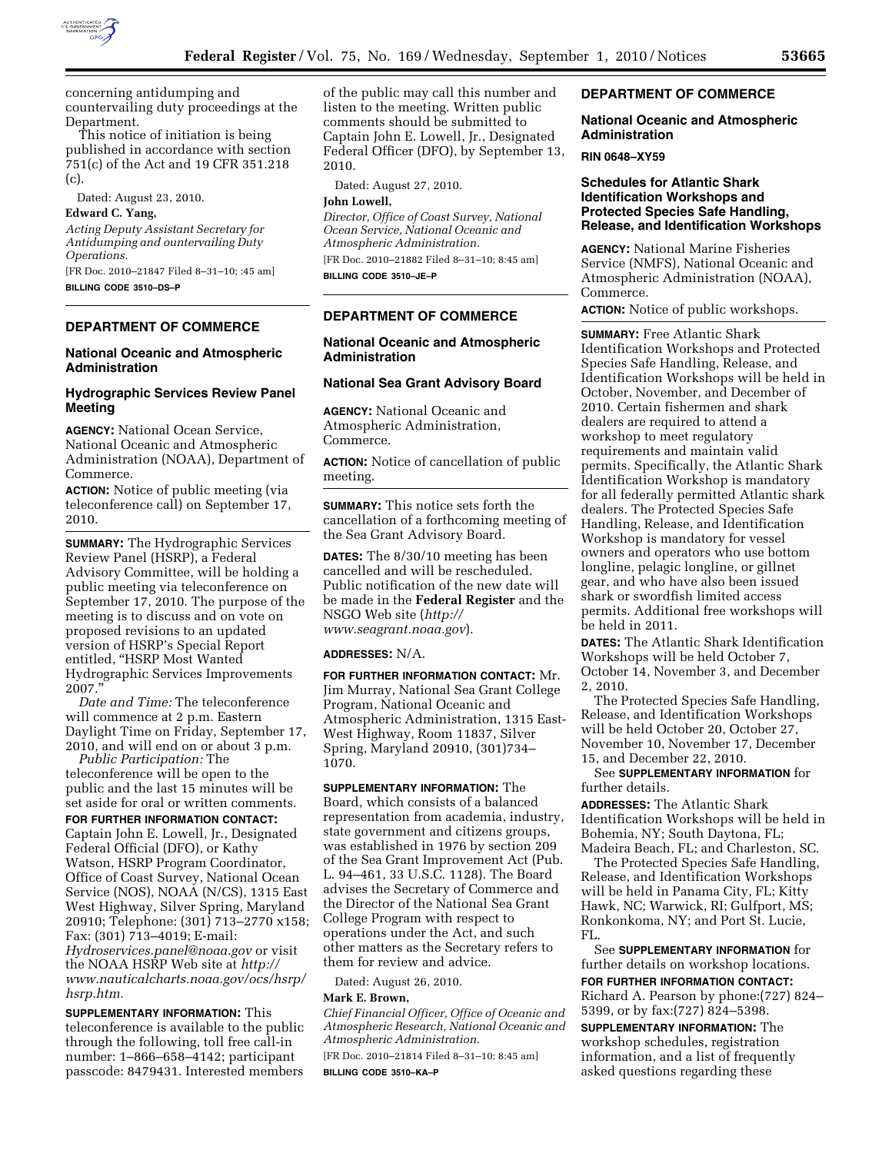

concerning antidumping and countervailing duty proceedings at the Department.

This notice of initiation is being published in accordance with section 751(c) of the Act and 19 CFR 351.218 (c).

Dated: August 23, 2010.

# **Edward C. Yang,**

*Acting Deputy Assistant Secretary for Antidumping and ountervailing Duty Operations.* 

[FR Doc. 2010–21847 Filed 8–31–10; :45 am] **BILLING CODE 3510–DS–P** 

# **DEPARTMENT OF COMMERCE**

### **National Oceanic and Atmospheric Administration**

## **Hydrographic Services Review Panel Meeting**

**AGENCY:** National Ocean Service, National Oceanic and Atmospheric Administration (NOAA), Department of Commerce.

**ACTION:** Notice of public meeting (via teleconference call) on September 17, 2010.

**SUMMARY:** The Hydrographic Services Review Panel (HSRP), a Federal Advisory Committee, will be holding a public meeting via teleconference on September 17, 2010. The purpose of the meeting is to discuss and on vote on proposed revisions to an updated version of HSRP's Special Report entitled, ''HSRP Most Wanted Hydrographic Services Improvements 2007.''

*Date and Time:* The teleconference will commence at 2 p.m. Eastern Daylight Time on Friday, September 17, 2010, and will end on or about 3 p.m.

*Public Participation:* The teleconference will be open to the public and the last 15 minutes will be set aside for oral or written comments.

**FOR FURTHER INFORMATION CONTACT:**  Captain John E. Lowell, Jr., Designated Federal Official (DFO), or Kathy Watson, HSRP Program Coordinator, Office of Coast Survey, National Ocean Service (NOS), NOAA (N/CS), 1315 East West Highway, Silver Spring, Maryland 20910; Telephone: (301) 713–2770 x158; Fax: (301) 713–4019; E-mail: *[Hydroservices.panel@noaa.gov](mailto:Hydroservices.panel@noaa.gov)* or visit the NOAA HSRP Web site at *[http://](http://www.nauticalcharts.noaa.gov/ocs/hsrp/hsrp.htm)  [www.nauticalcharts.noaa.gov/ocs/hsrp/](http://www.nauticalcharts.noaa.gov/ocs/hsrp/hsrp.htm)  [hsrp.htm.](http://www.nauticalcharts.noaa.gov/ocs/hsrp/hsrp.htm)* 

**SUPPLEMENTARY INFORMATION:** This teleconference is available to the public through the following, toll free call-in number: 1–866–658–4142; participant passcode: 8479431. Interested members

of the public may call this number and listen to the meeting. Written public comments should be submitted to Captain John E. Lowell, Jr., Designated Federal Officer (DFO), by September 13, 2010.

Dated: August 27, 2010.

#### **John Lowell,**

*Director, Office of Coast Survey, National Ocean Service, National Oceanic and Atmospheric Administration.*  [FR Doc. 2010–21882 Filed 8–31–10; 8:45 am]

**BILLING CODE 3510–JE–P** 

# **DEPARTMENT OF COMMERCE**

# **National Oceanic and Atmospheric Administration**

# **National Sea Grant Advisory Board**

**AGENCY:** National Oceanic and Atmospheric Administration, Commerce.

**ACTION:** Notice of cancellation of public meeting.

**SUMMARY:** This notice sets forth the cancellation of a forthcoming meeting of the Sea Grant Advisory Board.

**DATES:** The 8/30/10 meeting has been cancelled and will be rescheduled. Public notification of the new date will be made in the **Federal Register** and the NSGO Web site (*[http://](http://www.seagrant.noaa.gov)  [www.seagrant.noaa.gov](http://www.seagrant.noaa.gov)*).

#### **ADDRESSES:** N/A.

**FOR FURTHER INFORMATION CONTACT:** Mr. Jim Murray, National Sea Grant College Program, National Oceanic and Atmospheric Administration, 1315 East-West Highway, Room 11837, Silver Spring, Maryland 20910, (301)734– 1070.

**SUPPLEMENTARY INFORMATION:** The Board, which consists of a balanced representation from academia, industry, state government and citizens groups, was established in 1976 by section 209 of the Sea Grant Improvement Act (Pub. L. 94–461, 33 U.S.C. 1128). The Board advises the Secretary of Commerce and the Director of the National Sea Grant College Program with respect to operations under the Act, and such other matters as the Secretary refers to them for review and advice.

Dated: August 26, 2010.

## **Mark E. Brown,**

*Chief Financial Officer, Office of Oceanic and Atmospheric Research, National Oceanic and Atmospheric Administration.* 

[FR Doc. 2010–21814 Filed 8–31–10; 8:45 am] **BILLING CODE 3510–KA–P** 

## **DEPARTMENT OF COMMERCE**

## **National Oceanic and Atmospheric Administration**

#### **RIN 0648–XY59**

# **Schedules for Atlantic Shark Identification Workshops and Protected Species Safe Handling, Release, and Identification Workshops**

**AGENCY:** National Marine Fisheries Service (NMFS), National Oceanic and Atmospheric Administration (NOAA), Commerce.

**ACTION:** Notice of public workshops.

**SUMMARY:** Free Atlantic Shark Identification Workshops and Protected Species Safe Handling, Release, and Identification Workshops will be held in October, November, and December of 2010. Certain fishermen and shark dealers are required to attend a workshop to meet regulatory requirements and maintain valid permits. Specifically, the Atlantic Shark Identification Workshop is mandatory for all federally permitted Atlantic shark dealers. The Protected Species Safe Handling, Release, and Identification Workshop is mandatory for vessel owners and operators who use bottom longline, pelagic longline, or gillnet gear, and who have also been issued shark or swordfish limited access permits. Additional free workshops will be held in 2011.

**DATES:** The Atlantic Shark Identification Workshops will be held October 7, October 14, November 3, and December 2, 2010.

The Protected Species Safe Handling, Release, and Identification Workshops will be held October 20, October 27, November 10, November 17, December 15, and December 22, 2010.

## See **SUPPLEMENTARY INFORMATION** for further details.

**ADDRESSES:** The Atlantic Shark Identification Workshops will be held in Bohemia, NY; South Daytona, FL; Madeira Beach, FL; and Charleston, SC.

The Protected Species Safe Handling, Release, and Identification Workshops will be held in Panama City, FL; Kitty Hawk, NC; Warwick, RI; Gulfport, MS; Ronkonkoma, NY; and Port St. Lucie, FL.

See **SUPPLEMENTARY INFORMATION** for further details on workshop locations.

**FOR FURTHER INFORMATION CONTACT:**  Richard A. Pearson by phone:(727) 824– 5399, or by fax:(727) 824–5398.

**SUPPLEMENTARY INFORMATION:** The workshop schedules, registration information, and a list of frequently asked questions regarding these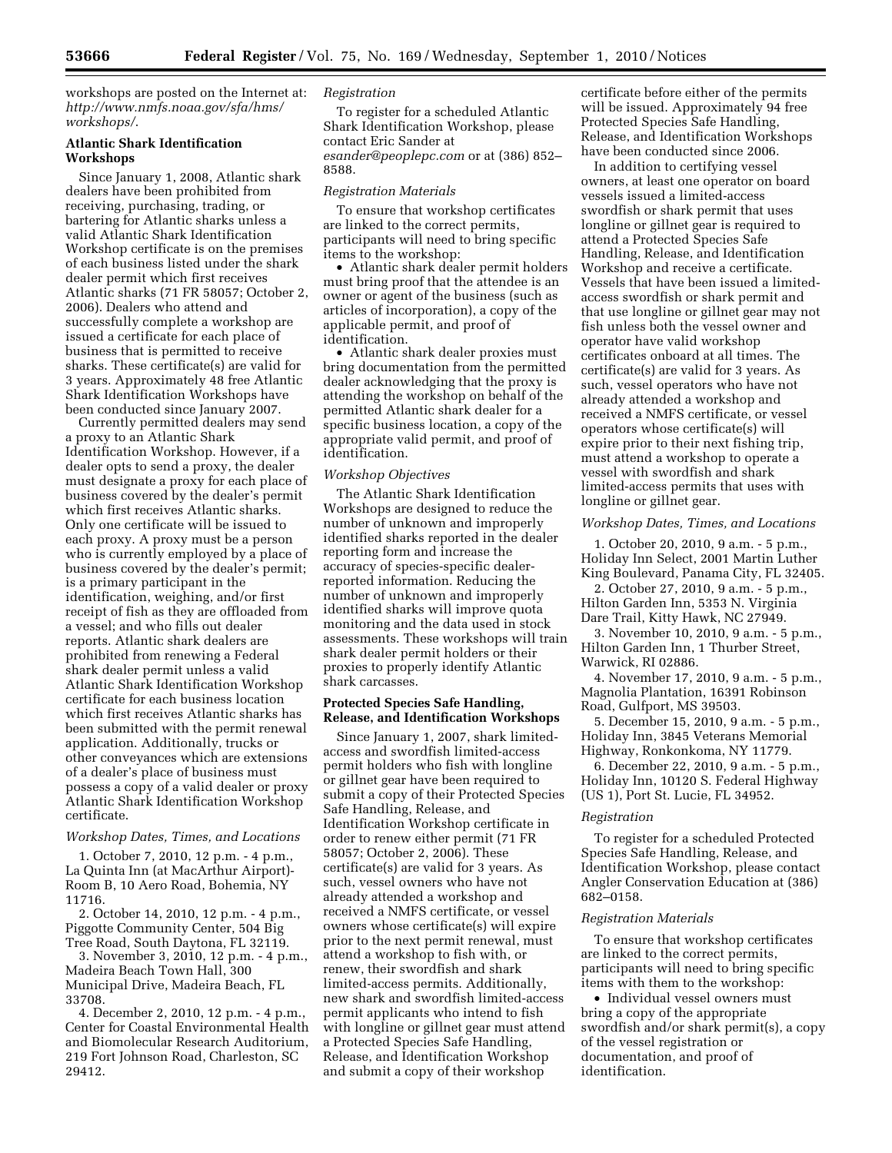workshops are posted on the Internet at: *[http://www.nmfs.noaa.gov/sfa/hms/](http://www.nmfs.noaa.gov/sfa/hms/workshops/)  [workshops/](http://www.nmfs.noaa.gov/sfa/hms/workshops/)*.

# **Atlantic Shark Identification Workshops**

Since January 1, 2008, Atlantic shark dealers have been prohibited from receiving, purchasing, trading, or bartering for Atlantic sharks unless a valid Atlantic Shark Identification Workshop certificate is on the premises of each business listed under the shark dealer permit which first receives Atlantic sharks (71 FR 58057; October 2, 2006). Dealers who attend and successfully complete a workshop are issued a certificate for each place of business that is permitted to receive sharks. These certificate(s) are valid for 3 years. Approximately 48 free Atlantic Shark Identification Workshops have been conducted since January 2007.

Currently permitted dealers may send a proxy to an Atlantic Shark Identification Workshop. However, if a dealer opts to send a proxy, the dealer must designate a proxy for each place of business covered by the dealer's permit which first receives Atlantic sharks. Only one certificate will be issued to each proxy. A proxy must be a person who is currently employed by a place of business covered by the dealer's permit; is a primary participant in the identification, weighing, and/or first receipt of fish as they are offloaded from a vessel; and who fills out dealer reports. Atlantic shark dealers are prohibited from renewing a Federal shark dealer permit unless a valid Atlantic Shark Identification Workshop certificate for each business location which first receives Atlantic sharks has been submitted with the permit renewal application. Additionally, trucks or other conveyances which are extensions of a dealer's place of business must possess a copy of a valid dealer or proxy Atlantic Shark Identification Workshop certificate.

#### *Workshop Dates, Times, and Locations*

1. October 7, 2010, 12 p.m. - 4 p.m., La Quinta Inn (at MacArthur Airport)- Room B, 10 Aero Road, Bohemia, NY 11716.

2. October 14, 2010, 12 p.m. - 4 p.m., Piggotte Community Center, 504 Big Tree Road, South Daytona, FL 32119.

3. November 3, 2010, 12 p.m. - 4 p.m., Madeira Beach Town Hall, 300 Municipal Drive, Madeira Beach, FL 33708.

4. December 2, 2010, 12 p.m. - 4 p.m., Center for Coastal Environmental Health and Biomolecular Research Auditorium, 219 Fort Johnson Road, Charleston, SC 29412.

## *Registration*

To register for a scheduled Atlantic Shark Identification Workshop, please contact Eric Sander at *[esander@peoplepc.com](mailto:esander@peoplepc.com)* or at (386) 852– 8588.

#### *Registration Materials*

To ensure that workshop certificates are linked to the correct permits, participants will need to bring specific items to the workshop:

• Atlantic shark dealer permit holders must bring proof that the attendee is an owner or agent of the business (such as articles of incorporation), a copy of the applicable permit, and proof of identification.

• Atlantic shark dealer proxies must bring documentation from the permitted dealer acknowledging that the proxy is attending the workshop on behalf of the permitted Atlantic shark dealer for a specific business location, a copy of the appropriate valid permit, and proof of identification.

#### *Workshop Objectives*

The Atlantic Shark Identification Workshops are designed to reduce the number of unknown and improperly identified sharks reported in the dealer reporting form and increase the accuracy of species-specific dealerreported information. Reducing the number of unknown and improperly identified sharks will improve quota monitoring and the data used in stock assessments. These workshops will train shark dealer permit holders or their proxies to properly identify Atlantic shark carcasses.

### **Protected Species Safe Handling, Release, and Identification Workshops**

Since January 1, 2007, shark limitedaccess and swordfish limited-access permit holders who fish with longline or gillnet gear have been required to submit a copy of their Protected Species Safe Handling, Release, and Identification Workshop certificate in order to renew either permit (71 FR 58057; October 2, 2006). These certificate(s) are valid for 3 years. As such, vessel owners who have not already attended a workshop and received a NMFS certificate, or vessel owners whose certificate(s) will expire prior to the next permit renewal, must attend a workshop to fish with, or renew, their swordfish and shark limited-access permits. Additionally, new shark and swordfish limited-access permit applicants who intend to fish with longline or gillnet gear must attend a Protected Species Safe Handling, Release, and Identification Workshop and submit a copy of their workshop

certificate before either of the permits will be issued. Approximately 94 free Protected Species Safe Handling, Release, and Identification Workshops have been conducted since 2006.

In addition to certifying vessel owners, at least one operator on board vessels issued a limited-access swordfish or shark permit that uses longline or gillnet gear is required to attend a Protected Species Safe Handling, Release, and Identification Workshop and receive a certificate. Vessels that have been issued a limitedaccess swordfish or shark permit and that use longline or gillnet gear may not fish unless both the vessel owner and operator have valid workshop certificates onboard at all times. The certificate(s) are valid for 3 years. As such, vessel operators who have not already attended a workshop and received a NMFS certificate, or vessel operators whose certificate(s) will expire prior to their next fishing trip, must attend a workshop to operate a vessel with swordfish and shark limited-access permits that uses with longline or gillnet gear.

#### *Workshop Dates, Times, and Locations*

1. October 20, 2010, 9 a.m. - 5 p.m., Holiday Inn Select, 2001 Martin Luther King Boulevard, Panama City, FL 32405.

2. October 27, 2010, 9 a.m. - 5 p.m., Hilton Garden Inn, 5353 N. Virginia Dare Trail, Kitty Hawk, NC 27949.

3. November 10, 2010, 9 a.m. - 5 p.m., Hilton Garden Inn, 1 Thurber Street, Warwick, RI 02886.

4. November 17, 2010, 9 a.m. - 5 p.m., Magnolia Plantation, 16391 Robinson Road, Gulfport, MS 39503.

5. December 15, 2010, 9 a.m. - 5 p.m., Holiday Inn, 3845 Veterans Memorial Highway, Ronkonkoma, NY 11779.

6. December 22, 2010, 9 a.m. - 5 p.m., Holiday Inn, 10120 S. Federal Highway (US 1), Port St. Lucie, FL 34952.

#### *Registration*

To register for a scheduled Protected Species Safe Handling, Release, and Identification Workshop, please contact Angler Conservation Education at (386) 682–0158.

#### *Registration Materials*

To ensure that workshop certificates are linked to the correct permits, participants will need to bring specific items with them to the workshop:

• Individual vessel owners must bring a copy of the appropriate swordfish and/or shark permit(s), a copy of the vessel registration or documentation, and proof of identification.